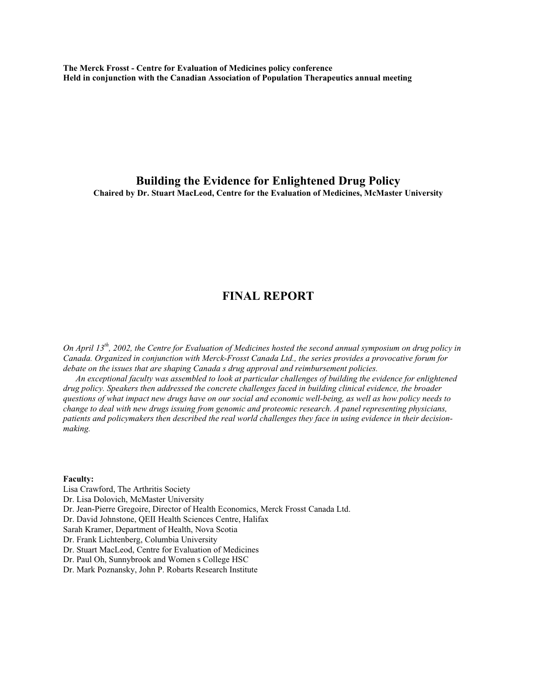**The Merck Frosst - Centre for Evaluation of Medicines policy conference Held in conjunction with the Canadian Association of Population Therapeutics annual meeting**

**Building the Evidence for Enlightened Drug Policy Chaired by Dr. Stuart MacLeod, Centre for the Evaluation of Medicines, McMaster University**

# **FINAL REPORT**

*On April 13th, 2002, the Centre for Evaluation of Medicines hosted the second annual symposium on drug policy in Canada. Organized in conjunction with Merck-Frosst Canada Ltd., the series provides a provocative forum for debate on the issues that are shaping Canada s drug approval and reimbursement policies.*

*An exceptional faculty was assembled to look at particular challenges of building the evidence for enlightened drug policy. Speakers then addressed the concrete challenges faced in building clinical evidence, the broader questions of what impact new drugs have on our social and economic well-being, as well as how policy needs to change to deal with new drugs issuing from genomic and proteomic research. A panel representing physicians, patients and policymakers then described the real world challenges they face in using evidence in their decisionmaking.*

### **Faculty:**

Lisa Crawford, The Arthritis Society Dr. Lisa Dolovich, McMaster University Dr. Jean-Pierre Gregoire, Director of Health Economics, Merck Frosst Canada Ltd. Dr. David Johnstone, QEII Health Sciences Centre, Halifax Sarah Kramer, Department of Health, Nova Scotia Dr. Frank Lichtenberg, Columbia University Dr. Stuart MacLeod, Centre for Evaluation of Medicines Dr. Paul Oh, Sunnybrook and Women s College HSC Dr. Mark Poznansky, John P. Robarts Research Institute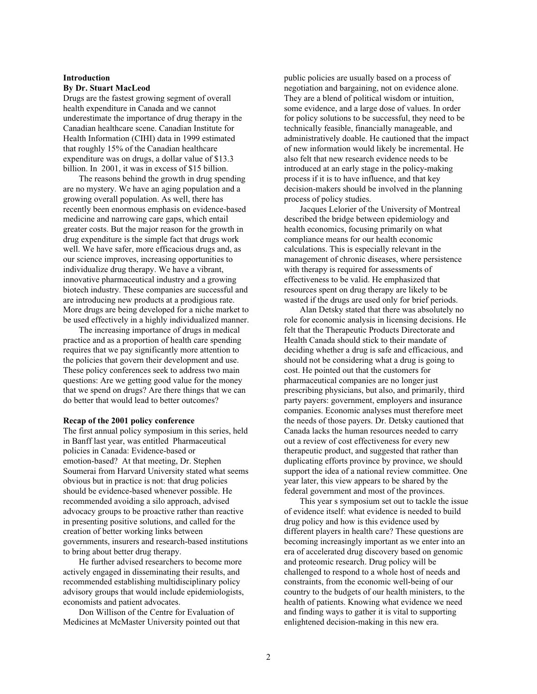#### **Introduction By Dr. Stuart MacLeod**

Drugs are the fastest growing segment of overall health expenditure in Canada and we cannot underestimate the importance of drug therapy in the Canadian healthcare scene. Canadian Institute for Health Information (CIHI) data in 1999 estimated that roughly 15% of the Canadian healthcare expenditure was on drugs, a dollar value of \$13.3 billion. In 2001, it was in excess of \$15 billion.

The reasons behind the growth in drug spending are no mystery. We have an aging population and a growing overall population. As well, there has recently been enormous emphasis on evidence-based medicine and narrowing care gaps, which entail greater costs. But the major reason for the growth in drug expenditure is the simple fact that drugs work well. We have safer, more efficacious drugs and, as our science improves, increasing opportunities to individualize drug therapy. We have a vibrant, innovative pharmaceutical industry and a growing biotech industry. These companies are successful and are introducing new products at a prodigious rate. More drugs are being developed for a niche market to be used effectively in a highly individualized manner.

The increasing importance of drugs in medical practice and as a proportion of health care spending requires that we pay significantly more attention to the policies that govern their development and use. These policy conferences seek to address two main questions: Are we getting good value for the money that we spend on drugs? Are there things that we can do better that would lead to better outcomes?

#### **Recap of the 2001 policy conference**

The first annual policy symposium in this series, held in Banff last year, was entitled Pharmaceutical policies in Canada: Evidence-based or emotion-based? At that meeting, Dr. Stephen Soumerai from Harvard University stated what seems obvious but in practice is not: that drug policies should be evidence-based whenever possible. He recommended avoiding a silo approach, advised advocacy groups to be proactive rather than reactive in presenting positive solutions, and called for the creation of better working links between governments, insurers and research-based institutions to bring about better drug therapy.

He further advised researchers to become more actively engaged in disseminating their results, and recommended establishing multidisciplinary policy advisory groups that would include epidemiologists, economists and patient advocates.

Don Willison of the Centre for Evaluation of Medicines at McMaster University pointed out that public policies are usually based on a process of negotiation and bargaining, not on evidence alone. They are a blend of political wisdom or intuition, some evidence, and a large dose of values. In order for policy solutions to be successful, they need to be technically feasible, financially manageable, and administratively doable. He cautioned that the impact of new information would likely be incremental. He also felt that new research evidence needs to be introduced at an early stage in the policy-making process if it is to have influence, and that key decision-makers should be involved in the planning process of policy studies.

Jacques Lelorier of the University of Montreal described the bridge between epidemiology and health economics, focusing primarily on what compliance means for our health economic calculations. This is especially relevant in the management of chronic diseases, where persistence with therapy is required for assessments of effectiveness to be valid. He emphasized that resources spent on drug therapy are likely to be wasted if the drugs are used only for brief periods.

Alan Detsky stated that there was absolutely no role for economic analysis in licensing decisions. He felt that the Therapeutic Products Directorate and Health Canada should stick to their mandate of deciding whether a drug is safe and efficacious, and should not be considering what a drug is going to cost. He pointed out that the customers for pharmaceutical companies are no longer just prescribing physicians, but also, and primarily, third party payers: government, employers and insurance companies. Economic analyses must therefore meet the needs of those payers. Dr. Detsky cautioned that Canada lacks the human resources needed to carry out a review of cost effectiveness for every new therapeutic product, and suggested that rather than duplicating efforts province by province, we should support the idea of a national review committee. One year later, this view appears to be shared by the federal government and most of the provinces.

This year s symposium set out to tackle the issue of evidence itself: what evidence is needed to build drug policy and how is this evidence used by different players in health care? These questions are becoming increasingly important as we enter into an era of accelerated drug discovery based on genomic and proteomic research. Drug policy will be challenged to respond to a whole host of needs and constraints, from the economic well-being of our country to the budgets of our health ministers, to the health of patients. Knowing what evidence we need and finding ways to gather it is vital to supporting enlightened decision-making in this new era.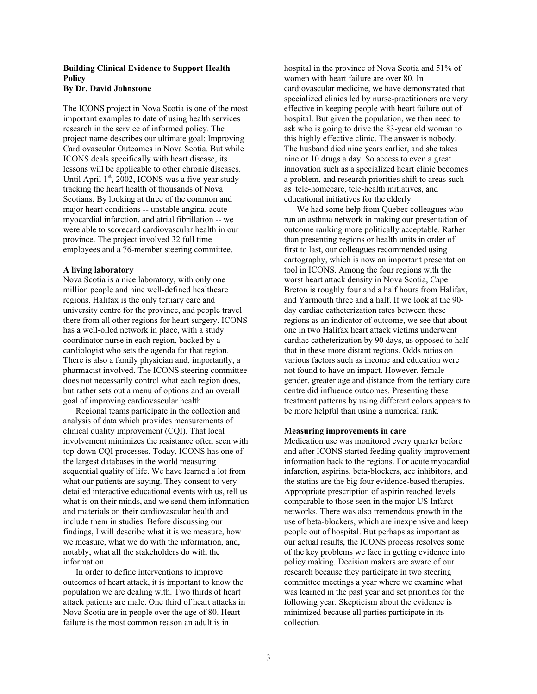## **Building Clinical Evidence to Support Health Policy**

### **By Dr. David Johnstone**

The ICONS project in Nova Scotia is one of the most important examples to date of using health services research in the service of informed policy. The project name describes our ultimate goal: Improving Cardiovascular Outcomes in Nova Scotia. But while ICONS deals specifically with heart disease, its lessons will be applicable to other chronic diseases. Until April  $1<sup>st</sup>$ , 2002, ICONS was a five-year study tracking the heart health of thousands of Nova Scotians. By looking at three of the common and major heart conditions -- unstable angina, acute myocardial infarction, and atrial fibrillation -- we were able to scorecard cardiovascular health in our province. The project involved 32 full time employees and a 76-member steering committee.

### **A living laboratory**

Nova Scotia is a nice laboratory, with only one million people and nine well-defined healthcare regions. Halifax is the only tertiary care and university centre for the province, and people travel there from all other regions for heart surgery. ICONS has a well-oiled network in place, with a study coordinator nurse in each region, backed by a cardiologist who sets the agenda for that region. There is also a family physician and, importantly, a pharmacist involved. The ICONS steering committee does not necessarily control what each region does, but rather sets out a menu of options and an overall goal of improving cardiovascular health.

Regional teams participate in the collection and analysis of data which provides measurements of clinical quality improvement (CQI). That local involvement minimizes the resistance often seen with top-down CQI processes. Today, ICONS has one of the largest databases in the world measuring sequential quality of life. We have learned a lot from what our patients are saying. They consent to very detailed interactive educational events with us, tell us what is on their minds, and we send them information and materials on their cardiovascular health and include them in studies. Before discussing our findings, I will describe what it is we measure, how we measure, what we do with the information, and, notably, what all the stakeholders do with the information.

In order to define interventions to improve outcomes of heart attack, it is important to know the population we are dealing with. Two thirds of heart attack patients are male. One third of heart attacks in Nova Scotia are in people over the age of 80. Heart failure is the most common reason an adult is in

hospital in the province of Nova Scotia and 51% of women with heart failure are over 80. In cardiovascular medicine, we have demonstrated that specialized clinics led by nurse-practitioners are very effective in keeping people with heart failure out of hospital. But given the population, we then need to ask who is going to drive the 83-year old woman to this highly effective clinic. The answer is nobody. The husband died nine years earlier, and she takes nine or 10 drugs a day. So access to even a great innovation such as a specialized heart clinic becomes a problem, and research priorities shift to areas such as tele-homecare, tele-health initiatives, and educational initiatives for the elderly.

We had some help from Quebec colleagues who run an asthma network in making our presentation of outcome ranking more politically acceptable. Rather than presenting regions or health units in order of first to last, our colleagues recommended using cartography, which is now an important presentation tool in ICONS. Among the four regions with the worst heart attack density in Nova Scotia, Cape Breton is roughly four and a half hours from Halifax, and Yarmouth three and a half. If we look at the 90 day cardiac catheterization rates between these regions as an indicator of outcome, we see that about one in two Halifax heart attack victims underwent cardiac catheterization by 90 days, as opposed to half that in these more distant regions. Odds ratios on various factors such as income and education were not found to have an impact. However, female gender, greater age and distance from the tertiary care centre did influence outcomes. Presenting these treatment patterns by using different colors appears to be more helpful than using a numerical rank.

### **Measuring improvements in care**

Medication use was monitored every quarter before and after ICONS started feeding quality improvement information back to the regions. For acute myocardial infarction, aspirins, beta-blockers, ace inhibitors, and the statins are the big four evidence-based therapies. Appropriate prescription of aspirin reached levels comparable to those seen in the major US Infarct networks. There was also tremendous growth in the use of beta-blockers, which are inexpensive and keep people out of hospital. But perhaps as important as our actual results, the ICONS process resolves some of the key problems we face in getting evidence into policy making. Decision makers are aware of our research because they participate in two steering committee meetings a year where we examine what was learned in the past year and set priorities for the following year. Skepticism about the evidence is minimized because all parties participate in its collection.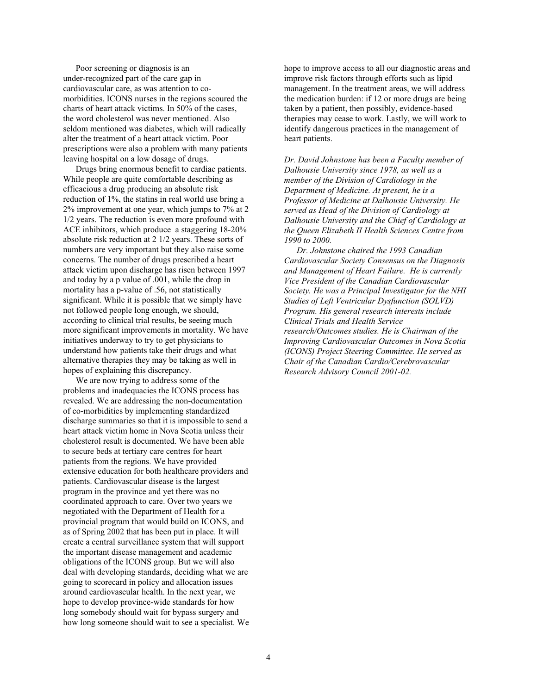Poor screening or diagnosis is an under-recognized part of the care gap in cardiovascular care, as was attention to comorbidities. ICONS nurses in the regions scoured the charts of heart attack victims. In 50% of the cases, the word cholesterol was never mentioned. Also seldom mentioned was diabetes, which will radically alter the treatment of a heart attack victim. Poor prescriptions were also a problem with many patients leaving hospital on a low dosage of drugs.

Drugs bring enormous benefit to cardiac patients. While people are quite comfortable describing as efficacious a drug producing an absolute risk reduction of 1%, the statins in real world use bring a 2% improvement at one year, which jumps to 7% at 2 1/2 years. The reduction is even more profound with ACE inhibitors, which produce a staggering 18-20% absolute risk reduction at 2 1/2 years. These sorts of numbers are very important but they also raise some concerns. The number of drugs prescribed a heart attack victim upon discharge has risen between 1997 and today by a p value of .001, while the drop in mortality has a p-value of .56, not statistically significant. While it is possible that we simply have not followed people long enough, we should, according to clinical trial results, be seeing much more significant improvements in mortality. We have initiatives underway to try to get physicians to understand how patients take their drugs and what alternative therapies they may be taking as well in hopes of explaining this discrepancy.

We are now trying to address some of the problems and inadequacies the ICONS process has revealed. We are addressing the non-documentation of co-morbidities by implementing standardized discharge summaries so that it is impossible to send a heart attack victim home in Nova Scotia unless their cholesterol result is documented. We have been able to secure beds at tertiary care centres for heart patients from the regions. We have provided extensive education for both healthcare providers and patients. Cardiovascular disease is the largest program in the province and yet there was no coordinated approach to care. Over two years we negotiated with the Department of Health for a provincial program that would build on ICONS, and as of Spring 2002 that has been put in place. It will create a central surveillance system that will support the important disease management and academic obligations of the ICONS group. But we will also deal with developing standards, deciding what we are going to scorecard in policy and allocation issues around cardiovascular health. In the next year, we hope to develop province-wide standards for how long somebody should wait for bypass surgery and how long someone should wait to see a specialist. We hope to improve access to all our diagnostic areas and improve risk factors through efforts such as lipid management. In the treatment areas, we will address the medication burden: if 12 or more drugs are being taken by a patient, then possibly, evidence-based therapies may cease to work. Lastly, we will work to identify dangerous practices in the management of heart patients.

*Dr. David Johnstone has been a Faculty member of Dalhousie University since 1978, as well as a member of the Division of Cardiology in the Department of Medicine. At present, he is a Professor of Medicine at Dalhousie University. He served as Head of the Division of Cardiology at Dalhousie University and the Chief of Cardiology at the Queen Elizabeth II Health Sciences Centre from 1990 to 2000.*

*Dr. Johnstone chaired the 1993 Canadian Cardiovascular Society Consensus on the Diagnosis and Management of Heart Failure. He is currently Vice President of the Canadian Cardiovascular Society. He was a Principal Investigator for the NHI Studies of Left Ventricular Dysfunction (SOLVD) Program. His general research interests include Clinical Trials and Health Service research/Outcomes studies. He is Chairman of the Improving Cardiovascular Outcomes in Nova Scotia (ICONS) Project Steering Committee. He served as Chair of the Canadian Cardio/Cerebrovascular Research Advisory Council 2001-02.*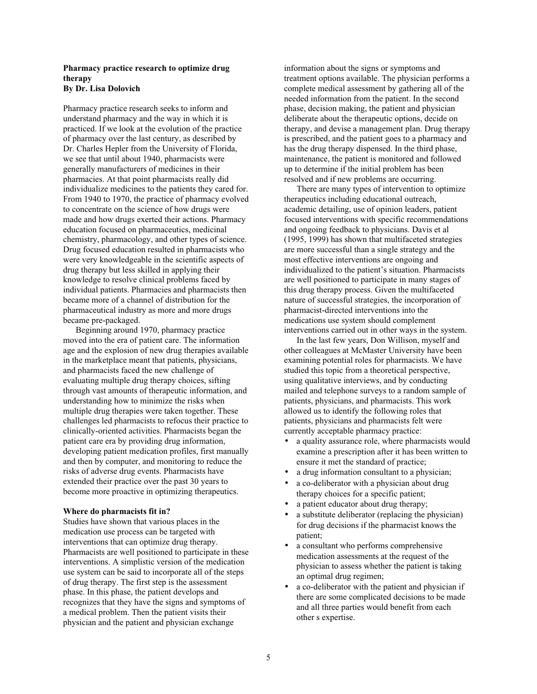### **Pharmacy practice research to optimize drug therapy By Dr. Lisa Dolovich**

Pharmacy practice research seeks to inform and understand pharmacy and the way in which it is practiced. If we look at the evolution of the practice of pharmacy over the last century, as described by Dr. Charles Hepler from the University of Florida, we see that until about 1940, pharmacists were generally manufacturers of medicines in their pharmacies. At that point pharmacists really did individualize medicines to the patients they cared for. From 1940 to 1970, the practice of pharmacy evolved to concentrate on the science of how drugs were made and how drugs exerted their actions. Pharmacy education focused on pharmaceutics, medicinal chemistry, pharmacology, and other types of science. Drug focused education resulted in pharmacists who were very knowledgeable in the scientific aspects of drug therapy but less skilled in applying their knowledge to resolve clinical problems faced by individual patients. Pharmacies and pharmacists then became more of a channel of distribution for the pharmaceutical industry as more and more drugs became pre-packaged.

Beginning around 1970, pharmacy practice moved into the era of patient care. The information age and the explosion of new drug therapies available in the marketplace meant that patients, physicians, and pharmacists faced the new challenge of evaluating multiple drug therapy choices, sifting through vast amounts of therapeutic information, and understanding how to minimize the risks when multiple drug therapies were taken together. These challenges led pharmacists to refocus their practice to clinically-oriented activities. Pharmacists began the patient care era by providing drug information, developing patient medication profiles, first manually and then by computer, and monitoring to reduce the risks of adverse drug events. Pharmacists have extended their practice over the past 30 years to become more proactive in optimizing therapeutics.

#### **Where do pharmacists fit in?**

Studies have shown that various places in the medication use process can be targeted with interventions that can optimize drug therapy. Pharmacists are well positioned to participate in these interventions. A simplistic version of the medication use system can be said to incorporate all of the steps of drug therapy. The first step is the assessment phase. In this phase, the patient develops and recognizes that they have the signs and symptoms of a medical problem. Then the patient visits their physician and the patient and physician exchange

information about the signs or symptoms and treatment options available. The physician performs a complete medical assessment by gathering all of the needed information from the patient. In the second phase, decision making, the patient and physician deliberate about the therapeutic options, decide on therapy, and devise a management plan. Drug therapy is prescribed, and the patient goes to a pharmacy and has the drug therapy dispensed. In the third phase, maintenance, the patient is monitored and followed up to determine if the initial problem has been resolved and if new problems are occurring.

There are many types of intervention to optimize therapeutics including educational outreach, academic detailing, use of opinion leaders, patient focused interventions with specific recommendations and ongoing feedback to physicians. Davis et al (1995, 1999) has shown that multifaceted strategies are more successful than a single strategy and the most effective interventions are ongoing and individualized to the patient's situation. Pharmacists are well positioned to participate in many stages of this drug therapy process. Given the multifaceted nature of successful strategies, the incorporation of pharmacist-directed interventions into the medications use system should complement interventions carried out in other ways in the system.

In the last few years, Don Willison, myself and other colleagues at McMaster University have been examining potential roles for pharmacists. We have studied this topic from a theoretical perspective, using qualitative interviews, and by conducting mailed and telephone surveys to a random sample of patients, physicians, and pharmacists. This work allowed us to identify the following roles that patients, physicians and pharmacists felt were currently acceptable pharmacy practice:

- a quality assurance role, where pharmacists would examine a prescription after it has been written to ensure it met the standard of practice;
- a drug information consultant to a physician;
- a co-deliberator with a physician about drug therapy choices for a specific patient;
- a patient educator about drug therapy;
- a substitute deliberator (replacing the physician) for drug decisions if the pharmacist knows the patient;
- a consultant who performs comprehensive medication assessments at the request of the physician to assess whether the patient is taking an optimal drug regimen;
- a co-deliberator with the patient and physician if there are some complicated decisions to be made and all three parties would benefit from each other s expertise.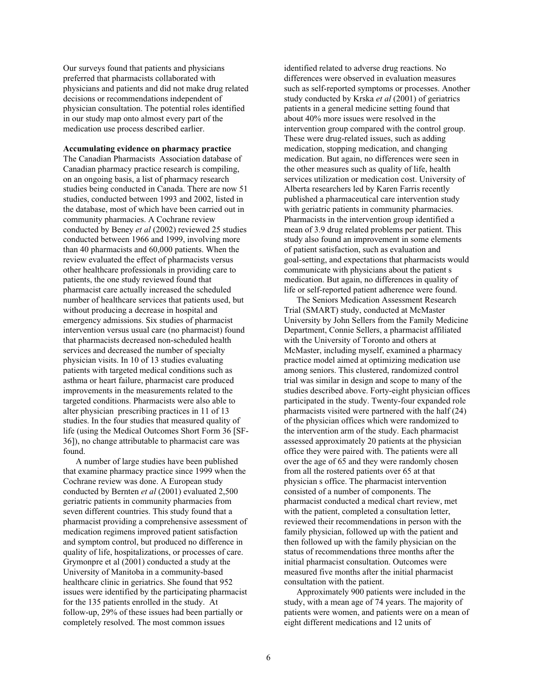Our surveys found that patients and physicians preferred that pharmacists collaborated with physicians and patients and did not make drug related decisions or recommendations independent of physician consultation. The potential roles identified in our study map onto almost every part of the medication use process described earlier.

**Accumulating evidence on pharmacy practice** The Canadian Pharmacists Association database of Canadian pharmacy practice research is compiling, on an ongoing basis, a list of pharmacy research studies being conducted in Canada. There are now 51 studies, conducted between 1993 and 2002, listed in the database, most of which have been carried out in community pharmacies. A Cochrane review conducted by Beney *et al* (2002) reviewed 25 studies conducted between 1966 and 1999, involving more than 40 pharmacists and 60,000 patients. When the review evaluated the effect of pharmacists versus other healthcare professionals in providing care to patients, the one study reviewed found that pharmacist care actually increased the scheduled number of healthcare services that patients used, but without producing a decrease in hospital and emergency admissions. Six studies of pharmacist intervention versus usual care (no pharmacist) found that pharmacists decreased non-scheduled health services and decreased the number of specialty physician visits. In 10 of 13 studies evaluating patients with targeted medical conditions such as asthma or heart failure, pharmacist care produced improvements in the measurements related to the targeted conditions. Pharmacists were also able to alter physician prescribing practices in 11 of 13 studies. In the four studies that measured quality of life (using the Medical Outcomes Short Form 36 [SF-36]), no change attributable to pharmacist care was found.

A number of large studies have been published that examine pharmacy practice since 1999 when the Cochrane review was done. A European study conducted by Bernten *et al* (2001) evaluated 2,500 geriatric patients in community pharmacies from seven different countries. This study found that a pharmacist providing a comprehensive assessment of medication regimens improved patient satisfaction and symptom control, but produced no difference in quality of life, hospitalizations, or processes of care. Grymonpre et al (2001) conducted a study at the University of Manitoba in a community-based healthcare clinic in geriatrics. She found that 952 issues were identified by the participating pharmacist for the 135 patients enrolled in the study. At follow-up, 29% of these issues had been partially or completely resolved. The most common issues

identified related to adverse drug reactions. No differences were observed in evaluation measures such as self-reported symptoms or processes. Another study conducted by Krska *et al* (2001) of geriatrics patients in a general medicine setting found that about 40% more issues were resolved in the intervention group compared with the control group. These were drug-related issues, such as adding medication, stopping medication, and changing medication. But again, no differences were seen in the other measures such as quality of life, health services utilization or medication cost. University of Alberta researchers led by Karen Farris recently published a pharmaceutical care intervention study with geriatric patients in community pharmacies. Pharmacists in the intervention group identified a mean of 3.9 drug related problems per patient. This study also found an improvement in some elements of patient satisfaction, such as evaluation and goal-setting, and expectations that pharmacists would communicate with physicians about the patient s medication. But again, no differences in quality of life or self-reported patient adherence were found.

The Seniors Medication Assessment Research Trial (SMART) study, conducted at McMaster University by John Sellers from the Family Medicine Department, Connie Sellers, a pharmacist affiliated with the University of Toronto and others at McMaster, including myself, examined a pharmacy practice model aimed at optimizing medication use among seniors. This clustered, randomized control trial was similar in design and scope to many of the studies described above. Forty-eight physician offices participated in the study. Twenty-four expanded role pharmacists visited were partnered with the half (24) of the physician offices which were randomized to the intervention arm of the study. Each pharmacist assessed approximately 20 patients at the physician office they were paired with. The patients were all over the age of 65 and they were randomly chosen from all the rostered patients over 65 at that physician s office. The pharmacist intervention consisted of a number of components. The pharmacist conducted a medical chart review, met with the patient, completed a consultation letter, reviewed their recommendations in person with the family physician, followed up with the patient and then followed up with the family physician on the status of recommendations three months after the initial pharmacist consultation. Outcomes were measured five months after the initial pharmacist consultation with the patient.

Approximately 900 patients were included in the study, with a mean age of 74 years. The majority of patients were women, and patients were on a mean of eight different medications and 12 units of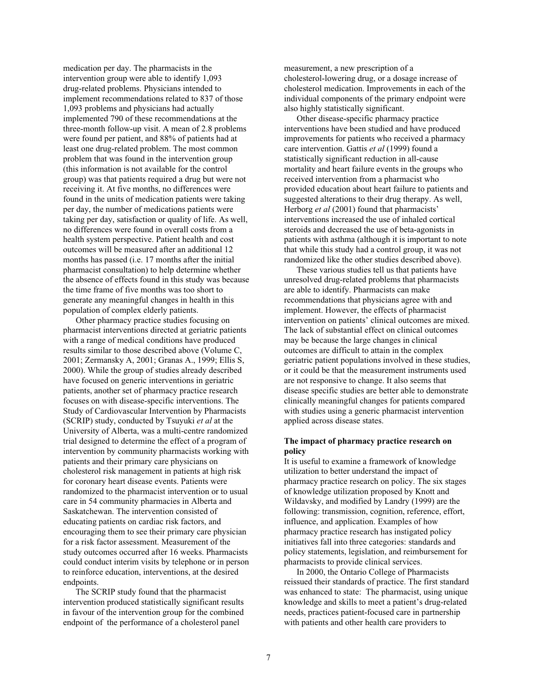medication per day. The pharmacists in the intervention group were able to identify 1,093 drug-related problems. Physicians intended to implement recommendations related to 837 of those 1,093 problems and physicians had actually implemented 790 of these recommendations at the three-month follow-up visit. A mean of 2.8 problems were found per patient, and 88% of patients had at least one drug-related problem. The most common problem that was found in the intervention group (this information is not available for the control group) was that patients required a drug but were not receiving it. At five months, no differences were found in the units of medication patients were taking per day, the number of medications patients were taking per day, satisfaction or quality of life. As well, no differences were found in overall costs from a health system perspective. Patient health and cost outcomes will be measured after an additional 12 months has passed (i.e. 17 months after the initial pharmacist consultation) to help determine whether the absence of effects found in this study was because the time frame of five months was too short to generate any meaningful changes in health in this population of complex elderly patients.

Other pharmacy practice studies focusing on pharmacist interventions directed at geriatric patients with a range of medical conditions have produced results similar to those described above (Volume C, 2001; Zermansky A, 2001; Granas A., 1999; Ellis S, 2000). While the group of studies already described have focused on generic interventions in geriatric patients, another set of pharmacy practice research focuses on with disease-specific interventions. The Study of Cardiovascular Intervention by Pharmacists (SCRIP) study, conducted by Tsuyuki *et al* at the University of Alberta, was a multi-centre randomized trial designed to determine the effect of a program of intervention by community pharmacists working with patients and their primary care physicians on cholesterol risk management in patients at high risk for coronary heart disease events. Patients were randomized to the pharmacist intervention or to usual care in 54 community pharmacies in Alberta and Saskatchewan. The intervention consisted of educating patients on cardiac risk factors, and encouraging them to see their primary care physician for a risk factor assessment. Measurement of the study outcomes occurred after 16 weeks. Pharmacists could conduct interim visits by telephone or in person to reinforce education, interventions, at the desired endpoints.

The SCRIP study found that the pharmacist intervention produced statistically significant results in favour of the intervention group for the combined endpoint of the performance of a cholesterol panel

measurement, a new prescription of a cholesterol-lowering drug, or a dosage increase of cholesterol medication. Improvements in each of the individual components of the primary endpoint were also highly statistically significant.

Other disease-specific pharmacy practice interventions have been studied and have produced improvements for patients who received a pharmacy care intervention. Gattis *et al* (1999) found a statistically significant reduction in all-cause mortality and heart failure events in the groups who received intervention from a pharmacist who provided education about heart failure to patients and suggested alterations to their drug therapy. As well, Herborg *et al* (2001) found that pharmacists' interventions increased the use of inhaled cortical steroids and decreased the use of beta-agonists in patients with asthma (although it is important to note that while this study had a control group, it was not randomized like the other studies described above).

These various studies tell us that patients have unresolved drug-related problems that pharmacists are able to identify. Pharmacists can make recommendations that physicians agree with and implement. However, the effects of pharmacist intervention on patients' clinical outcomes are mixed. The lack of substantial effect on clinical outcomes may be because the large changes in clinical outcomes are difficult to attain in the complex geriatric patient populations involved in these studies, or it could be that the measurement instruments used are not responsive to change. It also seems that disease specific studies are better able to demonstrate clinically meaningful changes for patients compared with studies using a generic pharmacist intervention applied across disease states.

### **The impact of pharmacy practice research on policy**

It is useful to examine a framework of knowledge utilization to better understand the impact of pharmacy practice research on policy. The six stages of knowledge utilization proposed by Knott and Wildavsky, and modified by Landry (1999) are the following: transmission, cognition, reference, effort, influence, and application. Examples of how pharmacy practice research has instigated policy initiatives fall into three categories: standards and policy statements, legislation, and reimbursement for pharmacists to provide clinical services.

In 2000, the Ontario College of Pharmacists reissued their standards of practice. The first standard was enhanced to state: The pharmacist, using unique knowledge and skills to meet a patient's drug-related needs, practices patient-focused care in partnership with patients and other health care providers to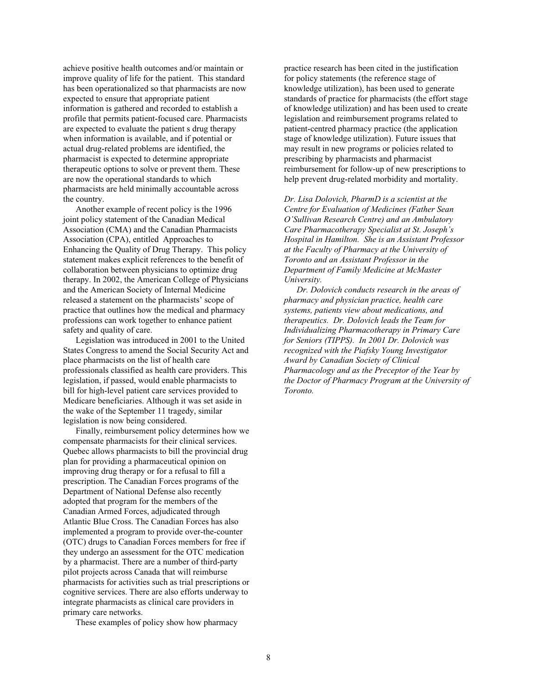achieve positive health outcomes and/or maintain or improve quality of life for the patient. This standard has been operationalized so that pharmacists are now expected to ensure that appropriate patient information is gathered and recorded to establish a profile that permits patient-focused care. Pharmacists are expected to evaluate the patient s drug therapy when information is available, and if potential or actual drug-related problems are identified, the pharmacist is expected to determine appropriate therapeutic options to solve or prevent them. These are now the operational standards to which pharmacists are held minimally accountable across the country.

Another example of recent policy is the 1996 joint policy statement of the Canadian Medical Association (CMA) and the Canadian Pharmacists Association (CPA), entitled Approaches to Enhancing the Quality of Drug Therapy. This policy statement makes explicit references to the benefit of collaboration between physicians to optimize drug therapy. In 2002, the American College of Physicians and the American Society of Internal Medicine released a statement on the pharmacists' scope of practice that outlines how the medical and pharmacy professions can work together to enhance patient safety and quality of care.

Legislation was introduced in 2001 to the United States Congress to amend the Social Security Act and place pharmacists on the list of health care professionals classified as health care providers. This legislation, if passed, would enable pharmacists to bill for high-level patient care services provided to Medicare beneficiaries. Although it was set aside in the wake of the September 11 tragedy, similar legislation is now being considered.

Finally, reimbursement policy determines how we compensate pharmacists for their clinical services. Quebec allows pharmacists to bill the provincial drug plan for providing a pharmaceutical opinion on improving drug therapy or for a refusal to fill a prescription. The Canadian Forces programs of the Department of National Defense also recently adopted that program for the members of the Canadian Armed Forces, adjudicated through Atlantic Blue Cross. The Canadian Forces has also implemented a program to provide over-the-counter (OTC) drugs to Canadian Forces members for free if they undergo an assessment for the OTC medication by a pharmacist. There are a number of third-party pilot projects across Canada that will reimburse pharmacists for activities such as trial prescriptions or cognitive services. There are also efforts underway to integrate pharmacists as clinical care providers in primary care networks.

These examples of policy show how pharmacy

practice research has been cited in the justification for policy statements (the reference stage of knowledge utilization), has been used to generate standards of practice for pharmacists (the effort stage of knowledge utilization) and has been used to create legislation and reimbursement programs related to patient-centred pharmacy practice (the application stage of knowledge utilization). Future issues that may result in new programs or policies related to prescribing by pharmacists and pharmacist reimbursement for follow-up of new prescriptions to help prevent drug-related morbidity and mortality.

*Dr. Lisa Dolovich, PharmD is a scientist at the Centre for Evaluation of Medicines (Father Sean O'Sullivan Research Centre) and an Ambulatory Care Pharmacotherapy Specialist at St. Joseph's Hospital in Hamilton. She is an Assistant Professor at the Faculty of Pharmacy at the University of Toronto and an Assistant Professor in the Department of Family Medicine at McMaster University.*

*Dr. Dolovich conducts research in the areas of pharmacy and physician practice, health care systems, patients view about medications, and therapeutics. Dr. Dolovich leads the Team for Individualizing Pharmacotherapy in Primary Care for Seniors (TIPPS). In 2001 Dr. Dolovich was recognized with the Piafsky Young Investigator Award by Canadian Society of Clinical Pharmacology and as the Preceptor of the Year by the Doctor of Pharmacy Program at the University of Toronto.*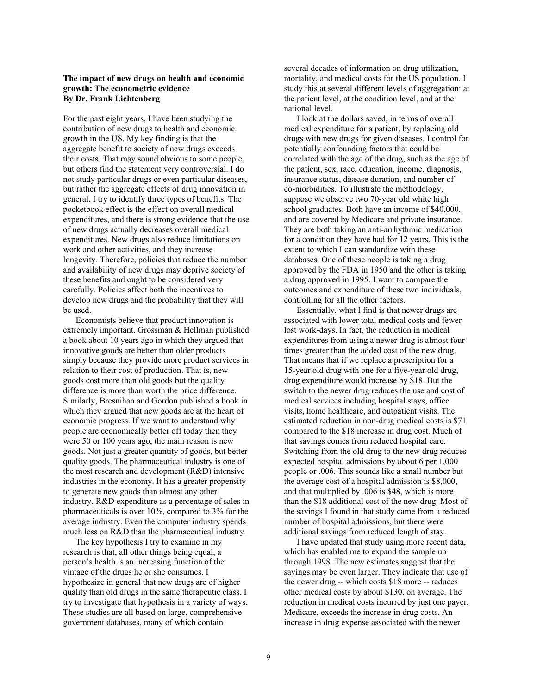### **The impact of new drugs on health and economic growth: The econometric evidence By Dr. Frank Lichtenberg**

For the past eight years, I have been studying the contribution of new drugs to health and economic growth in the US. My key finding is that the aggregate benefit to society of new drugs exceeds their costs. That may sound obvious to some people, but others find the statement very controversial. I do not study particular drugs or even particular diseases, but rather the aggregate effects of drug innovation in general. I try to identify three types of benefits. The pocketbook effect is the effect on overall medical expenditures, and there is strong evidence that the use of new drugs actually decreases overall medical expenditures. New drugs also reduce limitations on work and other activities, and they increase longevity. Therefore, policies that reduce the number and availability of new drugs may deprive society of these benefits and ought to be considered very carefully. Policies affect both the incentives to develop new drugs and the probability that they will be used.

Economists believe that product innovation is extremely important. Grossman & Hellman published a book about 10 years ago in which they argued that innovative goods are better than older products simply because they provide more product services in relation to their cost of production. That is, new goods cost more than old goods but the quality difference is more than worth the price difference. Similarly, Bresnihan and Gordon published a book in which they argued that new goods are at the heart of economic progress. If we want to understand why people are economically better off today then they were 50 or 100 years ago, the main reason is new goods. Not just a greater quantity of goods, but better quality goods. The pharmaceutical industry is one of the most research and development (R&D) intensive industries in the economy. It has a greater propensity to generate new goods than almost any other industry. R&D expenditure as a percentage of sales in pharmaceuticals is over 10%, compared to 3% for the average industry. Even the computer industry spends much less on R&D than the pharmaceutical industry.

The key hypothesis I try to examine in my research is that, all other things being equal, a person's health is an increasing function of the vintage of the drugs he or she consumes. I hypothesize in general that new drugs are of higher quality than old drugs in the same therapeutic class. I try to investigate that hypothesis in a variety of ways. These studies are all based on large, comprehensive government databases, many of which contain

several decades of information on drug utilization, mortality, and medical costs for the US population. I study this at several different levels of aggregation: at the patient level, at the condition level, and at the national level.

I look at the dollars saved, in terms of overall medical expenditure for a patient, by replacing old drugs with new drugs for given diseases. I control for potentially confounding factors that could be correlated with the age of the drug, such as the age of the patient, sex, race, education, income, diagnosis, insurance status, disease duration, and number of co-morbidities. To illustrate the methodology, suppose we observe two 70-year old white high school graduates. Both have an income of \$40,000, and are covered by Medicare and private insurance. They are both taking an anti-arrhythmic medication for a condition they have had for 12 years. This is the extent to which I can standardize with these databases. One of these people is taking a drug approved by the FDA in 1950 and the other is taking a drug approved in 1995. I want to compare the outcomes and expenditure of these two individuals, controlling for all the other factors.

Essentially, what I find is that newer drugs are associated with lower total medical costs and fewer lost work-days. In fact, the reduction in medical expenditures from using a newer drug is almost four times greater than the added cost of the new drug. That means that if we replace a prescription for a 15-year old drug with one for a five-year old drug, drug expenditure would increase by \$18. But the switch to the newer drug reduces the use and cost of medical services including hospital stays, office visits, home healthcare, and outpatient visits. The estimated reduction in non-drug medical costs is \$71 compared to the \$18 increase in drug cost. Much of that savings comes from reduced hospital care. Switching from the old drug to the new drug reduces expected hospital admissions by about 6 per 1,000 people or .006. This sounds like a small number but the average cost of a hospital admission is \$8,000, and that multiplied by .006 is \$48, which is more than the \$18 additional cost of the new drug. Most of the savings I found in that study came from a reduced number of hospital admissions, but there were additional savings from reduced length of stay.

I have updated that study using more recent data, which has enabled me to expand the sample up through 1998. The new estimates suggest that the savings may be even larger. They indicate that use of the newer drug -- which costs \$18 more -- reduces other medical costs by about \$130, on average. The reduction in medical costs incurred by just one payer, Medicare, exceeds the increase in drug costs. An increase in drug expense associated with the newer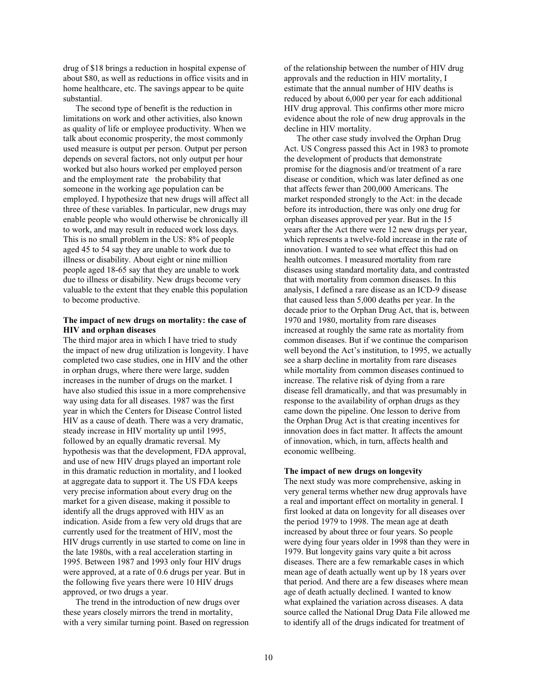drug of \$18 brings a reduction in hospital expense of about \$80, as well as reductions in office visits and in home healthcare, etc. The savings appear to be quite substantial.

The second type of benefit is the reduction in limitations on work and other activities, also known as quality of life or employee productivity. When we talk about economic prosperity, the most commonly used measure is output per person. Output per person depends on several factors, not only output per hour worked but also hours worked per employed person and the employment rate the probability that someone in the working age population can be employed. I hypothesize that new drugs will affect all three of these variables. In particular, new drugs may enable people who would otherwise be chronically ill to work, and may result in reduced work loss days. This is no small problem in the US: 8% of people aged 45 to 54 say they are unable to work due to illness or disability. About eight or nine million people aged 18-65 say that they are unable to work due to illness or disability. New drugs become very valuable to the extent that they enable this population to become productive.

### **The impact of new drugs on mortality: the case of HIV and orphan diseases**

The third major area in which I have tried to study the impact of new drug utilization is longevity. I have completed two case studies, one in HIV and the other in orphan drugs, where there were large, sudden increases in the number of drugs on the market. I have also studied this issue in a more comprehensive way using data for all diseases. 1987 was the first year in which the Centers for Disease Control listed HIV as a cause of death. There was a very dramatic, steady increase in HIV mortality up until 1995, followed by an equally dramatic reversal. My hypothesis was that the development, FDA approval, and use of new HIV drugs played an important role in this dramatic reduction in mortality, and I looked at aggregate data to support it. The US FDA keeps very precise information about every drug on the market for a given disease, making it possible to identify all the drugs approved with HIV as an indication. Aside from a few very old drugs that are currently used for the treatment of HIV, most the HIV drugs currently in use started to come on line in the late 1980s, with a real acceleration starting in 1995. Between 1987 and 1993 only four HIV drugs were approved, at a rate of 0.6 drugs per year. But in the following five years there were 10 HIV drugs approved, or two drugs a year.

The trend in the introduction of new drugs over these years closely mirrors the trend in mortality, with a very similar turning point. Based on regression of the relationship between the number of HIV drug approvals and the reduction in HIV mortality, I estimate that the annual number of HIV deaths is reduced by about 6,000 per year for each additional HIV drug approval. This confirms other more micro evidence about the role of new drug approvals in the decline in HIV mortality.

The other case study involved the Orphan Drug Act. US Congress passed this Act in 1983 to promote the development of products that demonstrate promise for the diagnosis and/or treatment of a rare disease or condition, which was later defined as one that affects fewer than 200,000 Americans. The market responded strongly to the Act: in the decade before its introduction, there was only one drug for orphan diseases approved per year. But in the 15 years after the Act there were 12 new drugs per year, which represents a twelve-fold increase in the rate of innovation. I wanted to see what effect this had on health outcomes. I measured mortality from rare diseases using standard mortality data, and contrasted that with mortality from common diseases. In this analysis, I defined a rare disease as an ICD-9 disease that caused less than 5,000 deaths per year. In the decade prior to the Orphan Drug Act, that is, between 1970 and 1980, mortality from rare diseases increased at roughly the same rate as mortality from common diseases. But if we continue the comparison well beyond the Act's institution, to 1995, we actually see a sharp decline in mortality from rare diseases while mortality from common diseases continued to increase. The relative risk of dying from a rare disease fell dramatically, and that was presumably in response to the availability of orphan drugs as they came down the pipeline. One lesson to derive from the Orphan Drug Act is that creating incentives for innovation does in fact matter. It affects the amount of innovation, which, in turn, affects health and economic wellbeing.

#### **The impact of new drugs on longevity**

The next study was more comprehensive, asking in very general terms whether new drug approvals have a real and important effect on mortality in general. I first looked at data on longevity for all diseases over the period 1979 to 1998. The mean age at death increased by about three or four years. So people were dying four years older in 1998 than they were in 1979. But longevity gains vary quite a bit across diseases. There are a few remarkable cases in which mean age of death actually went up by 18 years over that period. And there are a few diseases where mean age of death actually declined. I wanted to know what explained the variation across diseases. A data source called the National Drug Data File allowed me to identify all of the drugs indicated for treatment of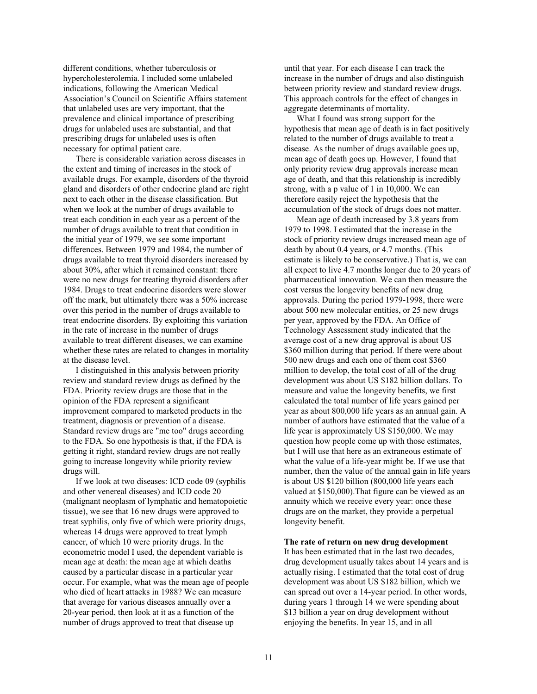different conditions, whether tuberculosis or hypercholesterolemia. I included some unlabeled indications, following the American Medical Association's Council on Scientific Affairs statement that unlabeled uses are very important, that the prevalence and clinical importance of prescribing drugs for unlabeled uses are substantial, and that prescribing drugs for unlabeled uses is often necessary for optimal patient care.

There is considerable variation across diseases in the extent and timing of increases in the stock of available drugs. For example, disorders of the thyroid gland and disorders of other endocrine gland are right next to each other in the disease classification. But when we look at the number of drugs available to treat each condition in each year as a percent of the number of drugs available to treat that condition in the initial year of 1979, we see some important differences. Between 1979 and 1984, the number of drugs available to treat thyroid disorders increased by about 30%, after which it remained constant: there were no new drugs for treating thyroid disorders after 1984. Drugs to treat endocrine disorders were slower off the mark, but ultimately there was a 50% increase over this period in the number of drugs available to treat endocrine disorders. By exploiting this variation in the rate of increase in the number of drugs available to treat different diseases, we can examine whether these rates are related to changes in mortality at the disease level.

I distinguished in this analysis between priority review and standard review drugs as defined by the FDA. Priority review drugs are those that in the opinion of the FDA represent a significant improvement compared to marketed products in the treatment, diagnosis or prevention of a disease. Standard review drugs are "me too" drugs according to the FDA. So one hypothesis is that, if the FDA is getting it right, standard review drugs are not really going to increase longevity while priority review drugs will.

If we look at two diseases: ICD code 09 (syphilis and other venereal diseases) and ICD code 20 (malignant neoplasm of lymphatic and hematopoietic tissue), we see that 16 new drugs were approved to treat syphilis, only five of which were priority drugs, whereas 14 drugs were approved to treat lymph cancer, of which 10 were priority drugs. In the econometric model I used, the dependent variable is mean age at death: the mean age at which deaths caused by a particular disease in a particular year occur. For example, what was the mean age of people who died of heart attacks in 1988? We can measure that average for various diseases annually over a 20-year period, then look at it as a function of the number of drugs approved to treat that disease up

until that year. For each disease I can track the increase in the number of drugs and also distinguish between priority review and standard review drugs. This approach controls for the effect of changes in aggregate determinants of mortality.

What I found was strong support for the hypothesis that mean age of death is in fact positively related to the number of drugs available to treat a disease. As the number of drugs available goes up, mean age of death goes up. However, I found that only priority review drug approvals increase mean age of death, and that this relationship is incredibly strong, with a p value of 1 in 10,000. We can therefore easily reject the hypothesis that the accumulation of the stock of drugs does not matter.

Mean age of death increased by 3.8 years from 1979 to 1998. I estimated that the increase in the stock of priority review drugs increased mean age of death by about 0.4 years, or 4.7 months. (This estimate is likely to be conservative.) That is, we can all expect to live 4.7 months longer due to 20 years of pharmaceutical innovation. We can then measure the cost versus the longevity benefits of new drug approvals. During the period 1979-1998, there were about 500 new molecular entities, or 25 new drugs per year, approved by the FDA. An Office of Technology Assessment study indicated that the average cost of a new drug approval is about US \$360 million during that period. If there were about 500 new drugs and each one of them cost \$360 million to develop, the total cost of all of the drug development was about US \$182 billion dollars. To measure and value the longevity benefits, we first calculated the total number of life years gained per year as about 800,000 life years as an annual gain. A number of authors have estimated that the value of a life year is approximately US \$150,000. We may question how people come up with those estimates, but I will use that here as an extraneous estimate of what the value of a life-year might be. If we use that number, then the value of the annual gain in life years is about US \$120 billion (800,000 life years each valued at \$150,000).That figure can be viewed as an annuity which we receive every year: once these drugs are on the market, they provide a perpetual longevity benefit.

#### **The rate of return on new drug development**

It has been estimated that in the last two decades, drug development usually takes about 14 years and is actually rising. I estimated that the total cost of drug development was about US \$182 billion, which we can spread out over a 14-year period. In other words, during years 1 through 14 we were spending about \$13 billion a year on drug development without enjoying the benefits. In year 15, and in all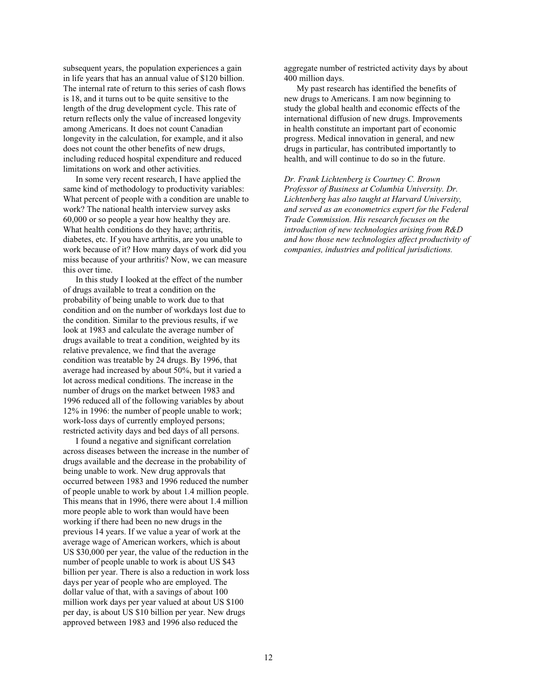subsequent years, the population experiences a gain in life years that has an annual value of \$120 billion. The internal rate of return to this series of cash flows is 18, and it turns out to be quite sensitive to the length of the drug development cycle. This rate of return reflects only the value of increased longevity among Americans. It does not count Canadian longevity in the calculation, for example, and it also does not count the other benefits of new drugs, including reduced hospital expenditure and reduced limitations on work and other activities.

In some very recent research, I have applied the same kind of methodology to productivity variables: What percent of people with a condition are unable to work? The national health interview survey asks 60,000 or so people a year how healthy they are. What health conditions do they have; arthritis, diabetes, etc. If you have arthritis, are you unable to work because of it? How many days of work did you miss because of your arthritis? Now, we can measure this over time.

In this study I looked at the effect of the number of drugs available to treat a condition on the probability of being unable to work due to that condition and on the number of workdays lost due to the condition. Similar to the previous results, if we look at 1983 and calculate the average number of drugs available to treat a condition, weighted by its relative prevalence, we find that the average condition was treatable by 24 drugs. By 1996, that average had increased by about 50%, but it varied a lot across medical conditions. The increase in the number of drugs on the market between 1983 and 1996 reduced all of the following variables by about 12% in 1996: the number of people unable to work; work-loss days of currently employed persons; restricted activity days and bed days of all persons.

I found a negative and significant correlation across diseases between the increase in the number of drugs available and the decrease in the probability of being unable to work. New drug approvals that occurred between 1983 and 1996 reduced the number of people unable to work by about 1.4 million people. This means that in 1996, there were about 1.4 million more people able to work than would have been working if there had been no new drugs in the previous 14 years. If we value a year of work at the average wage of American workers, which is about US \$30,000 per year, the value of the reduction in the number of people unable to work is about US \$43 billion per year. There is also a reduction in work loss days per year of people who are employed. The dollar value of that, with a savings of about 100 million work days per year valued at about US \$100 per day, is about US \$10 billion per year. New drugs approved between 1983 and 1996 also reduced the

aggregate number of restricted activity days by about 400 million days.

My past research has identified the benefits of new drugs to Americans. I am now beginning to study the global health and economic effects of the international diffusion of new drugs. Improvements in health constitute an important part of economic progress. Medical innovation in general, and new drugs in particular, has contributed importantly to health, and will continue to do so in the future.

*Dr. Frank Lichtenberg is Courtney C. Brown Professor of Business at Columbia University. Dr. Lichtenberg has also taught at Harvard University, and served as an econometrics expert for the Federal Trade Commission. His research focuses on the introduction of new technologies arising from R&D and how those new technologies affect productivity of companies, industries and political jurisdictions.*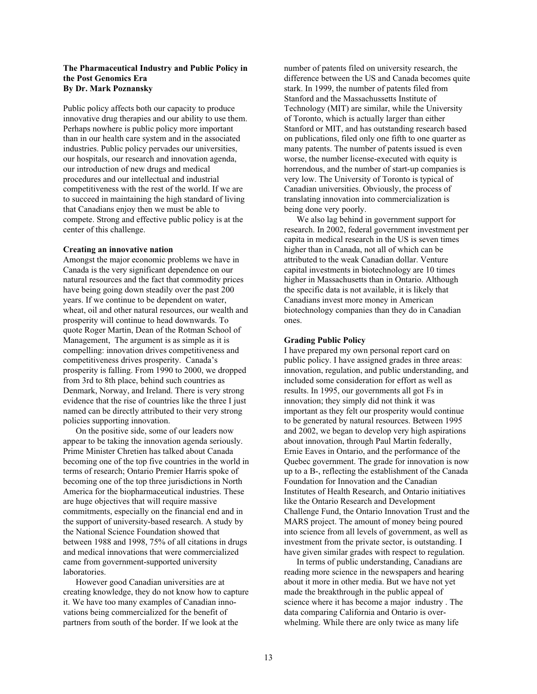### **The Pharmaceutical Industry and Public Policy in the Post Genomics Era By Dr. Mark Poznansky**

Public policy affects both our capacity to produce innovative drug therapies and our ability to use them. Perhaps nowhere is public policy more important than in our health care system and in the associated industries. Public policy pervades our universities, our hospitals, our research and innovation agenda, our introduction of new drugs and medical procedures and our intellectual and industrial competitiveness with the rest of the world. If we are to succeed in maintaining the high standard of living that Canadians enjoy then we must be able to compete. Strong and effective public policy is at the center of this challenge.

#### **Creating an innovative nation**

Amongst the major economic problems we have in Canada is the very significant dependence on our natural resources and the fact that commodity prices have being going down steadily over the past 200 years. If we continue to be dependent on water, wheat, oil and other natural resources, our wealth and prosperity will continue to head downwards. To quote Roger Martin, Dean of the Rotman School of Management, The argument is as simple as it is compelling: innovation drives competitiveness and competitiveness drives prosperity. Canada's prosperity is falling. From 1990 to 2000, we dropped from 3rd to 8th place, behind such countries as Denmark, Norway, and Ireland. There is very strong evidence that the rise of countries like the three I just named can be directly attributed to their very strong policies supporting innovation.

On the positive side, some of our leaders now appear to be taking the innovation agenda seriously. Prime Minister Chretien has talked about Canada becoming one of the top five countries in the world in terms of research; Ontario Premier Harris spoke of becoming one of the top three jurisdictions in North America for the biopharmaceutical industries. These are huge objectives that will require massive commitments, especially on the financial end and in the support of university-based research. A study by the National Science Foundation showed that between 1988 and 1998, 75% of all citations in drugs and medical innovations that were commercialized came from government-supported university laboratories.

However good Canadian universities are at creating knowledge, they do not know how to capture it. We have too many examples of Canadian innovations being commercialized for the benefit of partners from south of the border. If we look at the

number of patents filed on university research, the difference between the US and Canada becomes quite stark. In 1999, the number of patents filed from Stanford and the Massachussetts Institute of Technology (MIT) are similar, while the University of Toronto, which is actually larger than either Stanford or MIT, and has outstanding research based on publications, filed only one fifth to one quarter as many patents. The number of patents issued is even worse, the number license-executed with equity is horrendous, and the number of start-up companies is very low. The University of Toronto is typical of Canadian universities. Obviously, the process of translating innovation into commercialization is being done very poorly.

We also lag behind in government support for research. In 2002, federal government investment per capita in medical research in the US is seven times higher than in Canada, not all of which can be attributed to the weak Canadian dollar. Venture capital investments in biotechnology are 10 times higher in Massachusetts than in Ontario. Although the specific data is not available, it is likely that Canadians invest more money in American biotechnology companies than they do in Canadian ones.

#### **Grading Public Policy**

I have prepared my own personal report card on public policy. I have assigned grades in three areas: innovation, regulation, and public understanding, and included some consideration for effort as well as results. In 1995, our governments all got Fs in innovation; they simply did not think it was important as they felt our prosperity would continue to be generated by natural resources. Between 1995 and 2002, we began to develop very high aspirations about innovation, through Paul Martin federally, Ernie Eaves in Ontario, and the performance of the Quebec government. The grade for innovation is now up to a B-, reflecting the establishment of the Canada Foundation for Innovation and the Canadian Institutes of Health Research, and Ontario initiatives like the Ontario Research and Development Challenge Fund, the Ontario Innovation Trust and the MARS project. The amount of money being poured into science from all levels of government, as well as investment from the private sector, is outstanding. I have given similar grades with respect to regulation.

In terms of public understanding, Canadians are reading more science in the newspapers and hearing about it more in other media. But we have not yet made the breakthrough in the public appeal of science where it has become a major industry . The data comparing California and Ontario is overwhelming. While there are only twice as many life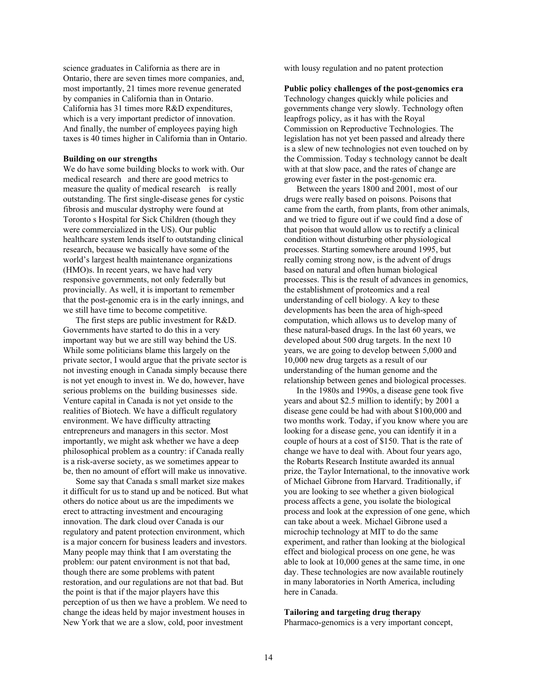science graduates in California as there are in Ontario, there are seven times more companies, and, most importantly, 21 times more revenue generated by companies in California than in Ontario. California has 31 times more R&D expenditures, which is a very important predictor of innovation. And finally, the number of employees paying high taxes is 40 times higher in California than in Ontario.

### **Building on our strengths**

We do have some building blocks to work with. Our medical research and there are good metrics to measure the quality of medical research is really outstanding. The first single-disease genes for cystic fibrosis and muscular dystrophy were found at Toronto s Hospital for Sick Children (though they were commercialized in the US). Our public healthcare system lends itself to outstanding clinical research, because we basically have some of the world's largest health maintenance organizations (HMO)s. In recent years, we have had very responsive governments, not only federally but provincially. As well, it is important to remember that the post-genomic era is in the early innings, and we still have time to become competitive.

The first steps are public investment for R&D. Governments have started to do this in a very important way but we are still way behind the US. While some politicians blame this largely on the private sector, I would argue that the private sector is not investing enough in Canada simply because there is not yet enough to invest in. We do, however, have serious problems on the building businesses side. Venture capital in Canada is not yet onside to the realities of Biotech. We have a difficult regulatory environment. We have difficulty attracting entrepreneurs and managers in this sector. Most importantly, we might ask whether we have a deep philosophical problem as a country: if Canada really is a risk-averse society, as we sometimes appear to be, then no amount of effort will make us innovative.

Some say that Canada s small market size makes it difficult for us to stand up and be noticed. But what others do notice about us are the impediments we erect to attracting investment and encouraging innovation. The dark cloud over Canada is our regulatory and patent protection environment, which is a major concern for business leaders and investors. Many people may think that I am overstating the problem: our patent environment is not that bad, though there are some problems with patent restoration, and our regulations are not that bad. But the point is that if the major players have this perception of us then we have a problem. We need to change the ideas held by major investment houses in New York that we are a slow, cold, poor investment

with lousy regulation and no patent protection

#### **Public policy challenges of the post-genomics era**

Technology changes quickly while policies and governments change very slowly. Technology often leapfrogs policy, as it has with the Royal Commission on Reproductive Technologies. The legislation has not yet been passed and already there is a slew of new technologies not even touched on by the Commission. Today s technology cannot be dealt with at that slow pace, and the rates of change are growing ever faster in the post-genomic era.

Between the years 1800 and 2001, most of our drugs were really based on poisons. Poisons that came from the earth, from plants, from other animals, and we tried to figure out if we could find a dose of that poison that would allow us to rectify a clinical condition without disturbing other physiological processes. Starting somewhere around 1995, but really coming strong now, is the advent of drugs based on natural and often human biological processes. This is the result of advances in genomics, the establishment of proteomics and a real understanding of cell biology. A key to these developments has been the area of high-speed computation, which allows us to develop many of these natural-based drugs. In the last 60 years, we developed about 500 drug targets. In the next 10 years, we are going to develop between 5,000 and 10,000 new drug targets as a result of our understanding of the human genome and the relationship between genes and biological processes.

In the 1980s and 1990s, a disease gene took five years and about \$2.5 million to identify; by 2001 a disease gene could be had with about \$100,000 and two months work. Today, if you know where you are looking for a disease gene, you can identify it in a couple of hours at a cost of \$150. That is the rate of change we have to deal with. About four years ago, the Robarts Research Institute awarded its annual prize, the Taylor International, to the innovative work of Michael Gibrone from Harvard. Traditionally, if you are looking to see whether a given biological process affects a gene, you isolate the biological process and look at the expression of one gene, which can take about a week. Michael Gibrone used a microchip technology at MIT to do the same experiment, and rather than looking at the biological effect and biological process on one gene, he was able to look at 10,000 genes at the same time, in one day. These technologies are now available routinely in many laboratories in North America, including here in Canada.

### **Tailoring and targeting drug therapy**

Pharmaco-genomics is a very important concept,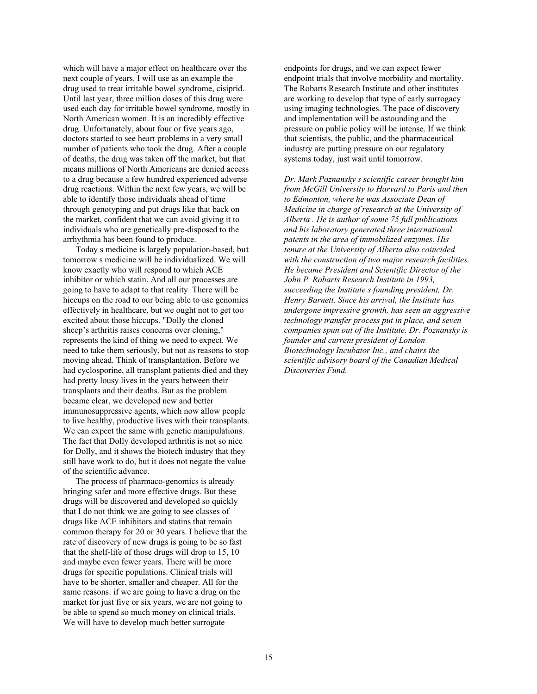which will have a major effect on healthcare over the next couple of years. I will use as an example the drug used to treat irritable bowel syndrome, cisiprid. Until last year, three million doses of this drug were used each day for irritable bowel syndrome, mostly in North American women. It is an incredibly effective drug. Unfortunately, about four or five years ago, doctors started to see heart problems in a very small number of patients who took the drug. After a couple of deaths, the drug was taken off the market, but that means millions of North Americans are denied access to a drug because a few hundred experienced adverse drug reactions. Within the next few years, we will be able to identify those individuals ahead of time through genotyping and put drugs like that back on the market, confident that we can avoid giving it to individuals who are genetically pre-disposed to the arrhythmia has been found to produce.

Today s medicine is largely population-based, but tomorrow s medicine will be individualized. We will know exactly who will respond to which ACE inhibitor or which statin. And all our processes are going to have to adapt to that reality. There will be hiccups on the road to our being able to use genomics effectively in healthcare, but we ought not to get too excited about those hiccups. "Dolly the cloned sheep's arthritis raises concerns over cloning," represents the kind of thing we need to expect. We need to take them seriously, but not as reasons to stop moving ahead. Think of transplantation. Before we had cyclosporine, all transplant patients died and they had pretty lousy lives in the years between their transplants and their deaths. But as the problem became clear, we developed new and better immunosuppressive agents, which now allow people to live healthy, productive lives with their transplants. We can expect the same with genetic manipulations. The fact that Dolly developed arthritis is not so nice for Dolly, and it shows the biotech industry that they still have work to do, but it does not negate the value of the scientific advance.

The process of pharmaco-genomics is already bringing safer and more effective drugs. But these drugs will be discovered and developed so quickly that I do not think we are going to see classes of drugs like ACE inhibitors and statins that remain common therapy for 20 or 30 years. I believe that the rate of discovery of new drugs is going to be so fast that the shelf-life of those drugs will drop to 15, 10 and maybe even fewer years. There will be more drugs for specific populations. Clinical trials will have to be shorter, smaller and cheaper. All for the same reasons: if we are going to have a drug on the market for just five or six years, we are not going to be able to spend so much money on clinical trials. We will have to develop much better surrogate

endpoints for drugs, and we can expect fewer endpoint trials that involve morbidity and mortality. The Robarts Research Institute and other institutes are working to develop that type of early surrogacy using imaging technologies. The pace of discovery and implementation will be astounding and the pressure on public policy will be intense. If we think that scientists, the public, and the pharmaceutical industry are putting pressure on our regulatory systems today, just wait until tomorrow.

*Dr. Mark Poznansky s scientific career brought him from McGill University to Harvard to Paris and then to Edmonton, where he was Associate Dean of Medicine in charge of research at the University of Alberta . He is author of some 75 full publications and his laboratory generated three international patents in the area of immobilized enzymes. His tenure at the University of Alberta also coincided with the construction of two major research facilities. He became President and Scientific Director of the John P. Robarts Research Institute in 1993, succeeding the Institute s founding president, Dr. Henry Barnett. Since his arrival, the Institute has undergone impressive growth, has seen an aggressive technology transfer process put in place, and seven companies spun out of the Institute. Dr. Poznansky is founder and current president of London Biotechnology Incubator Inc., and chairs the scientific advisory board of the Canadian Medical Discoveries Fund.*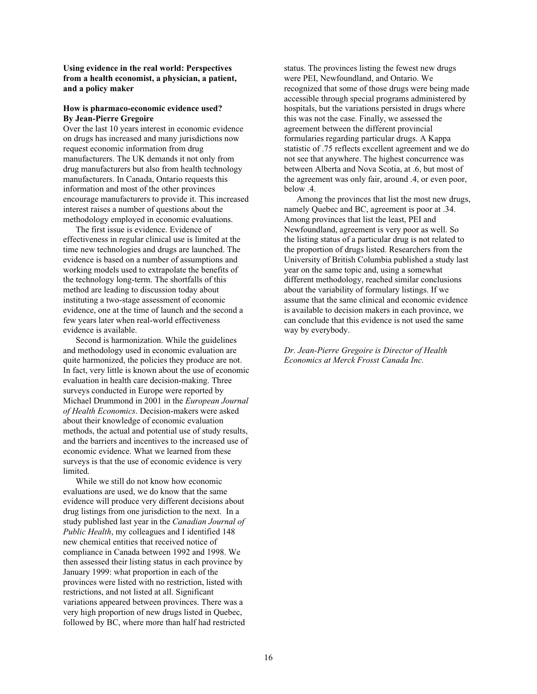**Using evidence in the real world: Perspectives from a health economist, a physician, a patient, and a policy maker**

### **How is pharmaco-economic evidence used? By Jean-Pierre Gregoire**

Over the last 10 years interest in economic evidence on drugs has increased and many jurisdictions now request economic information from drug manufacturers. The UK demands it not only from drug manufacturers but also from health technology manufacturers. In Canada, Ontario requests this information and most of the other provinces encourage manufacturers to provide it. This increased interest raises a number of questions about the methodology employed in economic evaluations.

The first issue is evidence. Evidence of effectiveness in regular clinical use is limited at the time new technologies and drugs are launched. The evidence is based on a number of assumptions and working models used to extrapolate the benefits of the technology long-term. The shortfalls of this method are leading to discussion today about instituting a two-stage assessment of economic evidence, one at the time of launch and the second a few years later when real-world effectiveness evidence is available.

Second is harmonization. While the guidelines and methodology used in economic evaluation are quite harmonized, the policies they produce are not. In fact, very little is known about the use of economic evaluation in health care decision-making. Three surveys conducted in Europe were reported by Michael Drummond in 2001 in the *European Journal of Health Economics*. Decision-makers were asked about their knowledge of economic evaluation methods, the actual and potential use of study results, and the barriers and incentives to the increased use of economic evidence. What we learned from these surveys is that the use of economic evidence is very limited.

While we still do not know how economic evaluations are used, we do know that the same evidence will produce very different decisions about drug listings from one jurisdiction to the next. In a study published last year in the *Canadian Journal of Public Health*, my colleagues and I identified 148 new chemical entities that received notice of compliance in Canada between 1992 and 1998. We then assessed their listing status in each province by January 1999: what proportion in each of the provinces were listed with no restriction, listed with restrictions, and not listed at all. Significant variations appeared between provinces. There was a very high proportion of new drugs listed in Quebec, followed by BC, where more than half had restricted status. The provinces listing the fewest new drugs were PEI, Newfoundland, and Ontario. We recognized that some of those drugs were being made accessible through special programs administered by hospitals, but the variations persisted in drugs where this was not the case. Finally, we assessed the agreement between the different provincial formularies regarding particular drugs. A Kappa statistic of .75 reflects excellent agreement and we do not see that anywhere. The highest concurrence was between Alberta and Nova Scotia, at .6, but most of the agreement was only fair, around .4, or even poor, below .4.

Among the provinces that list the most new drugs, namely Quebec and BC, agreement is poor at .34. Among provinces that list the least, PEI and Newfoundland, agreement is very poor as well. So the listing status of a particular drug is not related to the proportion of drugs listed. Researchers from the University of British Columbia published a study last year on the same topic and, using a somewhat different methodology, reached similar conclusions about the variability of formulary listings. If we assume that the same clinical and economic evidence is available to decision makers in each province, we can conclude that this evidence is not used the same way by everybody.

*Dr. Jean-Pierre Gregoire is Director of Health Economics at Merck Frosst Canada Inc.*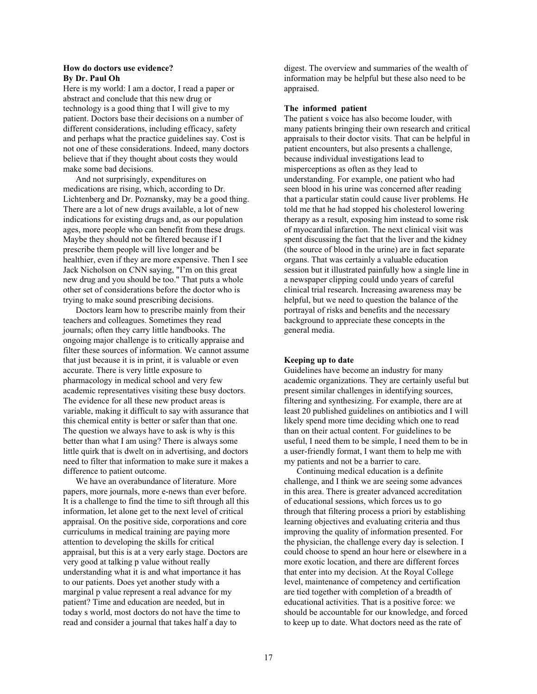### **How do doctors use evidence? By Dr. Paul Oh**

Here is my world: I am a doctor, I read a paper or abstract and conclude that this new drug or technology is a good thing that I will give to my patient. Doctors base their decisions on a number of different considerations, including efficacy, safety and perhaps what the practice guidelines say. Cost is not one of these considerations. Indeed, many doctors believe that if they thought about costs they would make some bad decisions.

And not surprisingly, expenditures on medications are rising, which, according to Dr. Lichtenberg and Dr. Poznansky, may be a good thing. There are a lot of new drugs available, a lot of new indications for existing drugs and, as our population ages, more people who can benefit from these drugs. Maybe they should not be filtered because if I prescribe them people will live longer and be healthier, even if they are more expensive. Then I see Jack Nicholson on CNN saying, "I'm on this great new drug and you should be too." That puts a whole other set of considerations before the doctor who is trying to make sound prescribing decisions.

Doctors learn how to prescribe mainly from their teachers and colleagues. Sometimes they read journals; often they carry little handbooks. The ongoing major challenge is to critically appraise and filter these sources of information. We cannot assume that just because it is in print, it is valuable or even accurate. There is very little exposure to pharmacology in medical school and very few academic representatives visiting these busy doctors. The evidence for all these new product areas is variable, making it difficult to say with assurance that this chemical entity is better or safer than that one. The question we always have to ask is why is this better than what I am using? There is always some little quirk that is dwelt on in advertising, and doctors need to filter that information to make sure it makes a difference to patient outcome.

We have an overabundance of literature. More papers, more journals, more e-news than ever before. It is a challenge to find the time to sift through all this information, let alone get to the next level of critical appraisal. On the positive side, corporations and core curriculums in medical training are paying more attention to developing the skills for critical appraisal, but this is at a very early stage. Doctors are very good at talking p value without really understanding what it is and what importance it has to our patients. Does yet another study with a marginal p value represent a real advance for my patient? Time and education are needed, but in today s world, most doctors do not have the time to read and consider a journal that takes half a day to

digest. The overview and summaries of the wealth of information may be helpful but these also need to be appraised.

### **The informed patient**

The patient s voice has also become louder, with many patients bringing their own research and critical appraisals to their doctor visits. That can be helpful in patient encounters, but also presents a challenge, because individual investigations lead to misperceptions as often as they lead to understanding. For example, one patient who had seen blood in his urine was concerned after reading that a particular statin could cause liver problems. He told me that he had stopped his cholesterol lowering therapy as a result, exposing him instead to some risk of myocardial infarction. The next clinical visit was spent discussing the fact that the liver and the kidney (the source of blood in the urine) are in fact separate organs. That was certainly a valuable education session but it illustrated painfully how a single line in a newspaper clipping could undo years of careful clinical trial research. Increasing awareness may be helpful, but we need to question the balance of the portrayal of risks and benefits and the necessary background to appreciate these concepts in the general media.

#### **Keeping up to date**

Guidelines have become an industry for many academic organizations. They are certainly useful but present similar challenges in identifying sources, filtering and synthesizing. For example, there are at least 20 published guidelines on antibiotics and I will likely spend more time deciding which one to read than on their actual content. For guidelines to be useful, I need them to be simple, I need them to be in a user-friendly format, I want them to help me with my patients and not be a barrier to care.

Continuing medical education is a definite challenge, and I think we are seeing some advances in this area. There is greater advanced accreditation of educational sessions, which forces us to go through that filtering process a priori by establishing learning objectives and evaluating criteria and thus improving the quality of information presented. For the physician, the challenge every day is selection. I could choose to spend an hour here or elsewhere in a more exotic location, and there are different forces that enter into my decision. At the Royal College level, maintenance of competency and certification are tied together with completion of a breadth of educational activities. That is a positive force: we should be accountable for our knowledge, and forced to keep up to date. What doctors need as the rate of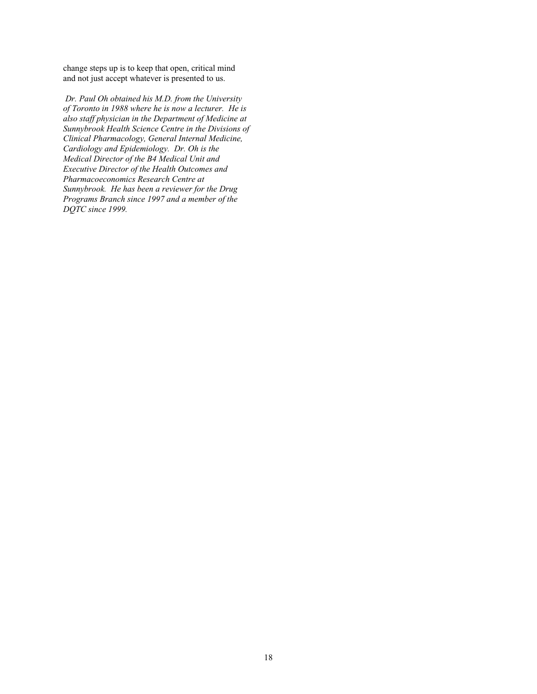change steps up is to keep that open, critical mind and not just accept whatever is presented to us.

 *Dr. Paul Oh obtained his M.D. from the University of Toronto in 1988 where he is now a lecturer. He is also staff physician in the Department of Medicine at Sunnybrook Health Science Centre in the Divisions of Clinical Pharmacology, General Internal Medicine, Cardiology and Epidemiology. Dr. Oh is the Medical Director of the B4 Medical Unit and Executive Director of the Health Outcomes and Pharmacoeconomics Research Centre at Sunnybrook. He has been a reviewer for the Drug Programs Branch since 1997 and a member of the DQTC since 1999.*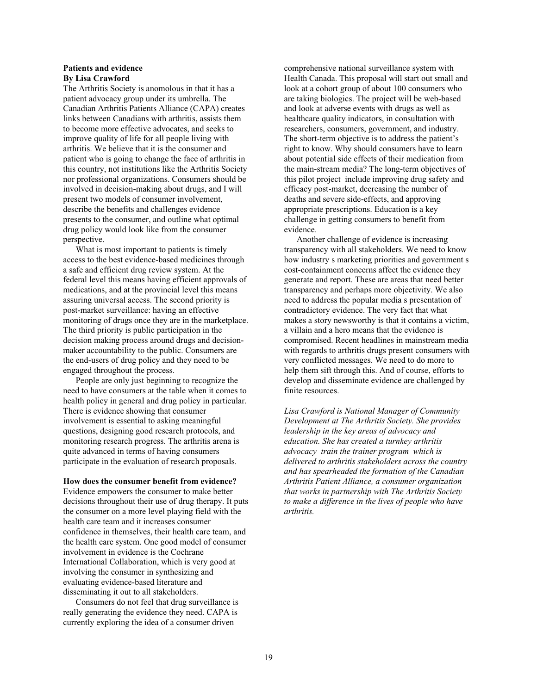### **Patients and evidence By Lisa Crawford**

The Arthritis Society is anomolous in that it has a patient advocacy group under its umbrella. The Canadian Arthritis Patients Alliance (CAPA) creates links between Canadians with arthritis, assists them to become more effective advocates, and seeks to improve quality of life for all people living with arthritis. We believe that it is the consumer and patient who is going to change the face of arthritis in this country, not institutions like the Arthritis Society nor professional organizations. Consumers should be involved in decision-making about drugs, and I will present two models of consumer involvement, describe the benefits and challenges evidence presents to the consumer, and outline what optimal drug policy would look like from the consumer perspective.

What is most important to patients is timely access to the best evidence-based medicines through a safe and efficient drug review system. At the federal level this means having efficient approvals of medications, and at the provincial level this means assuring universal access. The second priority is post-market surveillance: having an effective monitoring of drugs once they are in the marketplace. The third priority is public participation in the decision making process around drugs and decisionmaker accountability to the public. Consumers are the end-users of drug policy and they need to be engaged throughout the process.

People are only just beginning to recognize the need to have consumers at the table when it comes to health policy in general and drug policy in particular. There is evidence showing that consumer involvement is essential to asking meaningful questions, designing good research protocols, and monitoring research progress. The arthritis arena is quite advanced in terms of having consumers participate in the evaluation of research proposals.

**How does the consumer benefit from evidence?**

Evidence empowers the consumer to make better decisions throughout their use of drug therapy. It puts the consumer on a more level playing field with the health care team and it increases consumer confidence in themselves, their health care team, and the health care system. One good model of consumer involvement in evidence is the Cochrane International Collaboration, which is very good at involving the consumer in synthesizing and evaluating evidence-based literature and disseminating it out to all stakeholders.

Consumers do not feel that drug surveillance is really generating the evidence they need. CAPA is currently exploring the idea of a consumer driven

comprehensive national surveillance system with Health Canada. This proposal will start out small and look at a cohort group of about 100 consumers who are taking biologics. The project will be web-based and look at adverse events with drugs as well as healthcare quality indicators, in consultation with researchers, consumers, government, and industry. The short-term objective is to address the patient's right to know. Why should consumers have to learn about potential side effects of their medication from the main-stream media? The long-term objectives of this pilot project include improving drug safety and efficacy post-market, decreasing the number of deaths and severe side-effects, and approving appropriate prescriptions. Education is a key challenge in getting consumers to benefit from evidence.

Another challenge of evidence is increasing transparency with all stakeholders. We need to know how industry s marketing priorities and government s cost-containment concerns affect the evidence they generate and report. These are areas that need better transparency and perhaps more objectivity. We also need to address the popular media s presentation of contradictory evidence. The very fact that what makes a story newsworthy is that it contains a victim, a villain and a hero means that the evidence is compromised. Recent headlines in mainstream media with regards to arthritis drugs present consumers with very conflicted messages. We need to do more to help them sift through this. And of course, efforts to develop and disseminate evidence are challenged by finite resources.

*Lisa Crawford is National Manager of Community Development at The Arthritis Society. She provides leadership in the key areas of advocacy and education. She has created a turnkey arthritis advocacy train the trainer program which is delivered to arthritis stakeholders across the country and has spearheaded the formation of the Canadian Arthritis Patient Alliance, a consumer organization that works in partnership with The Arthritis Society to make a difference in the lives of people who have arthritis.*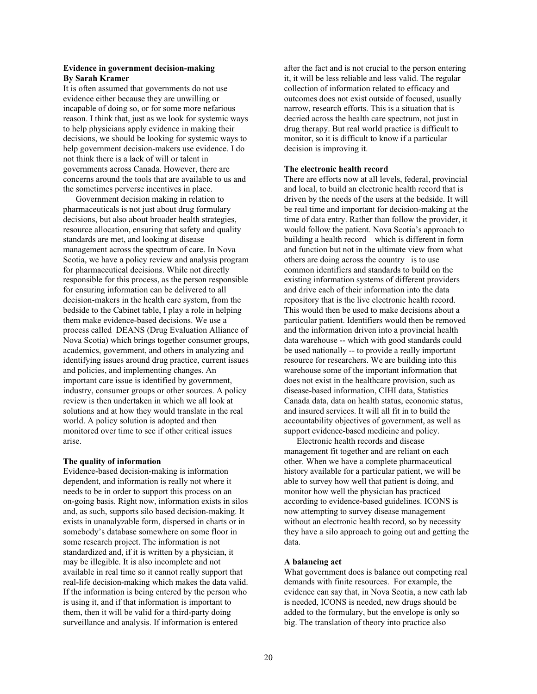### **Evidence in government decision-making By Sarah Kramer**

It is often assumed that governments do not use evidence either because they are unwilling or incapable of doing so, or for some more nefarious reason. I think that, just as we look for systemic ways to help physicians apply evidence in making their decisions, we should be looking for systemic ways to help government decision-makers use evidence. I do not think there is a lack of will or talent in governments across Canada. However, there are concerns around the tools that are available to us and the sometimes perverse incentives in place.

Government decision making in relation to pharmaceuticals is not just about drug formulary decisions, but also about broader health strategies, resource allocation, ensuring that safety and quality standards are met, and looking at disease management across the spectrum of care. In Nova Scotia, we have a policy review and analysis program for pharmaceutical decisions. While not directly responsible for this process, as the person responsible for ensuring information can be delivered to all decision-makers in the health care system, from the bedside to the Cabinet table, I play a role in helping them make evidence-based decisions. We use a process called DEANS (Drug Evaluation Alliance of Nova Scotia) which brings together consumer groups, academics, government, and others in analyzing and identifying issues around drug practice, current issues and policies, and implementing changes. An important care issue is identified by government, industry, consumer groups or other sources. A policy review is then undertaken in which we all look at solutions and at how they would translate in the real world. A policy solution is adopted and then monitored over time to see if other critical issues arise.

### **The quality of information**

Evidence-based decision-making is information dependent, and information is really not where it needs to be in order to support this process on an on-going basis. Right now, information exists in silos and, as such, supports silo based decision-making. It exists in unanalyzable form, dispersed in charts or in somebody's database somewhere on some floor in some research project. The information is not standardized and, if it is written by a physician, it may be illegible. It is also incomplete and not available in real time so it cannot really support that real-life decision-making which makes the data valid. If the information is being entered by the person who is using it, and if that information is important to them, then it will be valid for a third-party doing surveillance and analysis. If information is entered

after the fact and is not crucial to the person entering it, it will be less reliable and less valid. The regular collection of information related to efficacy and outcomes does not exist outside of focused, usually narrow, research efforts. This is a situation that is decried across the health care spectrum, not just in drug therapy. But real world practice is difficult to monitor, so it is difficult to know if a particular decision is improving it.

#### **The electronic health record**

There are efforts now at all levels, federal, provincial and local, to build an electronic health record that is driven by the needs of the users at the bedside. It will be real time and important for decision-making at the time of data entry. Rather than follow the provider, it would follow the patient. Nova Scotia's approach to building a health record which is different in form and function but not in the ultimate view from what others are doing across the country is to use common identifiers and standards to build on the existing information systems of different providers and drive each of their information into the data repository that is the live electronic health record. This would then be used to make decisions about a particular patient. Identifiers would then be removed and the information driven into a provincial health data warehouse -- which with good standards could be used nationally -- to provide a really important resource for researchers. We are building into this warehouse some of the important information that does not exist in the healthcare provision, such as disease-based information, CIHI data, Statistics Canada data, data on health status, economic status, and insured services. It will all fit in to build the accountability objectives of government, as well as support evidence-based medicine and policy.

Electronic health records and disease management fit together and are reliant on each other. When we have a complete pharmaceutical history available for a particular patient, we will be able to survey how well that patient is doing, and monitor how well the physician has practiced according to evidence-based guidelines. ICONS is now attempting to survey disease management without an electronic health record, so by necessity they have a silo approach to going out and getting the data.

#### **A balancing act**

What government does is balance out competing real demands with finite resources. For example, the evidence can say that, in Nova Scotia, a new cath lab is needed, ICONS is needed, new drugs should be added to the formulary, but the envelope is only so big. The translation of theory into practice also